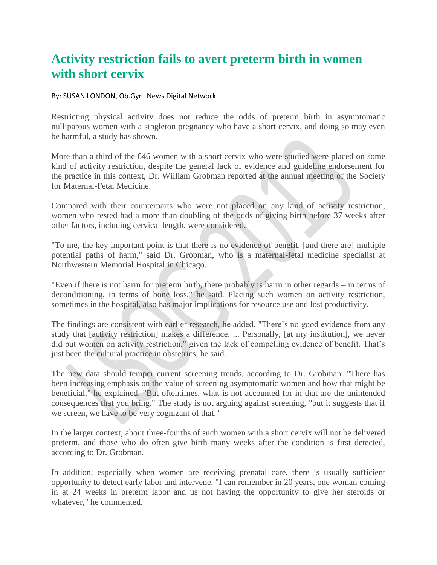## **Activity restriction fails to avert preterm birth in women with short cervix**

## By: SUSAN LONDON, Ob.Gyn. News Digital Network

Restricting physical activity does not reduce the odds of preterm birth in asymptomatic nulliparous women with a singleton pregnancy who have a short cervix, and doing so may even be harmful, a study has shown.

More than a third of the 646 women with a short cervix who were studied were placed on some kind of activity restriction, despite the general lack of evidence and guideline endorsement for the practice in this context, Dr. William Grobman reported at the annual meeting of the Society for Maternal-Fetal Medicine.

Compared with their counterparts who were not placed on any kind of activity restriction, women who rested had a more than doubling of the odds of giving birth before 37 weeks after other factors, including cervical length, were considered.

"To me, the key important point is that there is no evidence of benefit, [and there are] multiple potential paths of harm," said Dr. Grobman, who is a maternal-fetal medicine specialist at Northwestern Memorial Hospital in Chicago.

"Even if there is not harm for preterm birth, there probably is harm in other regards – in terms of deconditioning, in terms of bone loss," he said. Placing such women on activity restriction, sometimes in the hospital, also has major implications for resource use and lost productivity.

The findings are consistent with earlier research, he added. "There's no good evidence from any study that [activity restriction] makes a difference. ... Personally, [at my institution], we never did put women on activity restriction," given the lack of compelling evidence of benefit. That's just been the cultural practice in obstetrics, he said.

The new data should temper current screening trends, according to Dr. Grobman. "There has been increasing emphasis on the value of screening asymptomatic women and how that might be beneficial," he explained. "But oftentimes, what is not accounted for in that are the unintended consequences that you bring." The study is not arguing against screening, "but it suggests that if we screen, we have to be very cognizant of that."

In the larger context, about three-fourths of such women with a short cervix will not be delivered preterm, and those who do often give birth many weeks after the condition is first detected, according to Dr. Grobman.

In addition, especially when women are receiving prenatal care, there is usually sufficient opportunity to detect early labor and intervene. "I can remember in 20 years, one woman coming in at 24 weeks in preterm labor and us not having the opportunity to give her steroids or whatever," he commented.